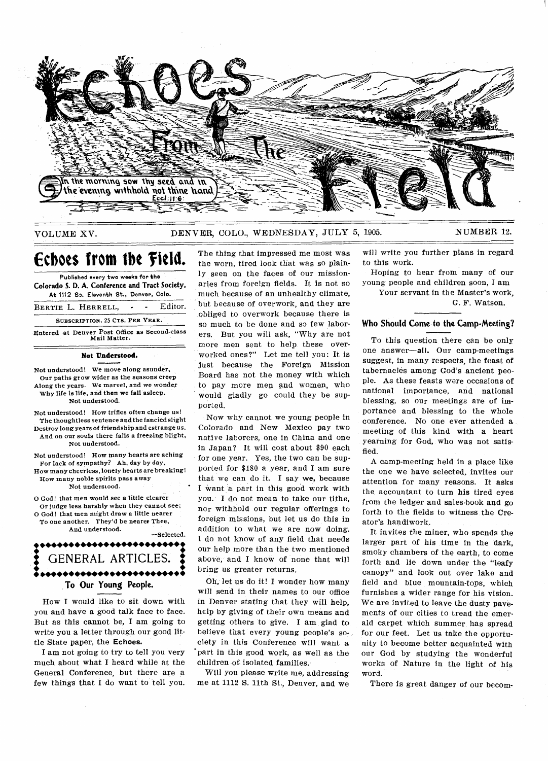

# VOLUME XV. DENVER, COLO., WEDNESDAY, JULY 5, 1905. NUMBER 12.

# **Echoes from the field.**

**Published every two weeks for the Colorado S. D. A. Conference and Tract Society, At 1112 So. Eleventh St., Denver, Colo.** 

BERTIE L. HERRELL, - - Editor. **SUBSCRIPTION, 25 CTS. PER YEAR.** 

**Entered at Denver Post Office as Second-class Mail Matter.** 

### **Not Understood.**

**Not understood! We move along asunder, Our paths grow wider as the seasons creep Along the years. We marvel, and we wonder Why life is life, and then we fall asleep. Not understood.** 

**Not understood! How trifles often change us! The thoughtless sentence and the fancied slight Destroy long years of friendship and estrange us, And on our souls there falls a freezing blight, Not understood.** 

**Not understood! How many hearts are aching For lack of sympathy? Ah, day by day, How many cheerless, lonely hearts are breaking!** 

**How many noble spirits pass away Not understood.** 

**O God! that men would see a little clearer Or judge less harshly when they cannot see; O God! that men might draw a little nearer To one another. They'd be nearer Thee,** 

**And understood. —Selected.** 

**: ••••••••••••••••••••••••\*: GENERAL ARTICLES. ; • ••••••••••••••••••••••••• To Our Young People.** 

How I would like to sit down with you and have a good talk face to face. But as this cannot be, I am going to write you a letter through our good little State paper, **the Echoes.** 

I am not going to try to tell you very much about what I heard while at the General Conference, but there are a few things that I do want to tell you.

The thing that impressed me most was the worn, tired look that was so plainly seen on the faces of our missionaries from foreign fields. It is not so much because of an unhealthy climate, but because of overwork, and they are obliged to overwork because there is so much to be done and so few laborers. But you will ask, "Why are not more men sent to help these overworked ones?" Let me tell you: It is just because the Foreign Mission Board has not the money with which to pay more men and women, who would gladly go could they be supported.

Now why cannot we young people in Colorado and New Mexico pay two native laborers, one in China and one in Japan? It will cost about \$90 each for one year. Yes, the two can be supported for \$180 a year, and I am sure that we can do it. I say **we,** because I want a part in this good work with you. I do not mean to take our tithe, nor withhold our regular offerings to foreign missions, but let us do this in addition to what we are now doing. I do not know of any field that needs our help more than the two mentioned above, and I know of none that will bring us greater returns.

Oh, let us do it! I wonder how many will send in their names to our office in Denver stating that they will help, help by giving of their own means and getting others to give. I am glad to believe that every young people's society in this Conference will want a 'part in this good work, as well as the children of isolated families.

Will you please write me, addressing me at 1112 S. 11th St., Denver, and we

will write you further plans in regard to this work.

Hoping to hear from many of our young people and children soon, I am

Your servant in the Master's work,

G. F. Watson.

# **Who Should Come to the Camp-Meeting?**

To this question there can be only one answer—all. Our camp-meetings suggest, in many respects, the feast of tabernacles among God's ancient people. As these feasts were occasions of national importance, and national blessing, so our meetings are of importance and blessing to the whole conference. No one ever attended a meeting of this kind with a heart yearning for God, who was not satisfied.

A camp-meeting held in a place like the one we have selected, invites our attention for many reasons. It asks the accountant to turn his tired eyes from the ledger and sales-book and go forth to the fields to witness the Creator's handiwork.

It invites the miner, who spends the larger part of his time in the dark, smoky chambers of the earth, to come forth and lie down under the "leafy canopy" and look out over lake and field and blue mountain-tops, which furnishes a wider range for his vision. We are invited to leave the dusty pavements of our cities to tread the emerald carpet which summer has spread for our feet. Let us take the opportunity to become better acquainted with our God by studying the wonderful works of Nature in the light of his word.

There is great danger of our becom-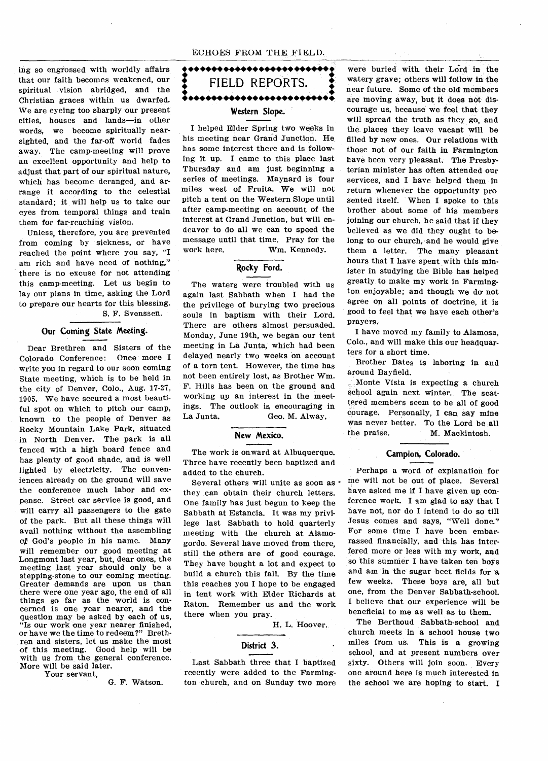#### ECHOES FROM THE FIELD.

ing so engrossed with worldly affairs that our faith becomes weakened, our spiritual vision abridged, and the Christian graces within us dwarfed. We are eyeing too sharply our present cities, houses and lands—in other words, we become spiritually nearsighted, and the far-off world fades away. The camp-meeting will prove an excellent opportunity and help to adjust that part of our spiritual nature, which has become deranged, and arrange it according to the celestial standard; it will help us to take our eyes from temporal things and train them for far-reaching vision.

Unless, therefore, you are prevented from coming by sickness, or have reached the point where you say, "I am rich and have need of nothing," there is no excuse for not attending this camp-meeting. Let us begin to lay our plans in time, asking the Lord to prepare our hearts for this blessing.

S. F. Svenssen.

# **Our Coming State Meeting.**

Dear Brethren and Sisters of the Colorado Conference: Once more I write you in regard to our soon coming State meeting, which is to be held in the city of Denver, Colo., Aug. 17-27, 1905. We have secured a most beautiful spot on which to pitch our camp, known to the people of Denver as Rocky Mountain Lake Park, situated in North Denver. The park is all fenced with a high board fence and has plenty of good shade, and is well lighted by electricity. The conveniences already on the ground will save the conference much labor and expense. Street car service is good, and will carry all passengers to the gate of the park. But all these things will avail nothing without the assembling og God's people in his name. Many will remember our good meeting at Longmont last year, but, dear ones, the meeting last year should only be a stepping-stone to our coming meeting. Greater demands are upon us than there were one year ago, the end of all things so far as the world is concerned is one year nearer, and the question may be asked by each of us, "Is our work one year nearer finished, or have we the time to redeem?" Brethren and sisters, let us make the most of this meeting. Good help will be with us from the general conference. More will be said later.

Your servant,

G. F. Watson.

**• ••••••••••••••••••••••••1 • • • FIELD REPORTS. 4 • • •••••• •••••• •••••• \*••••• • Western Slope.** 

I helped Elder Spring two weeks in his meeting near Grand Junction. He has some interest there and is following it up. I came to this place last Thursday and am just beginning a series of meetings. Maynard is four miles west of Fruita. We will not pitch a tent on the Western Slope until after camp-meeting on account of the interest at Grand Junction, but will endeavor to do all we can to speed the message until that time. Pray for the work here. Wm. Kennedy.

# **Rocky Ford.**

The waters were troubled with us again last Sabbath when I had the the privilege of burying two precious souls in baptism with their Lord. There are others almost persuaded. Monday, June 19th, we began our tent meeting in La Junta, which had been delayed nearly two weeks on account of a torn tent. However, the time has not been entirely lost, as Brother Wm. F. Hills has been on the ground and working up an interest in the meetings. The outlook is encouraging in La Junta. Geo. M. Alway.

### **New Mexico.**

The work is onward at Albuquerque. Three have recently been baptized and added to the church.

Several others will unite as soon as  $\cdot$ they can obtain their church letters. One family has just begun to keep the Sabbath at Estancia. It was my privilege last Sabbath to hold quarterly meeting with the church at Alamogordo. Several have moved from there, still the others are of good courage. They have bought a lot and expect to build a church this fall. By the time this reaches you I hope to be engaged in tent work with Eider Richards at Raton. Remember us and the work there when you pray.

H. L. Hoover.

# **District 3.**

Last Sabbath three that I baptized recently were added to the Farmington church, and on Sunday two more

were buried with their Lord in the watery grave; others will follow in the near future. Some of the old members are moving away, but it does not discourage us, because we feel that they will spread the truth as they go, and the places they leave vacant will be filled by new ones. Our relations with those not of our faith in Farmington have been very pleasant. The Presbyterian minister has often attended our services, and I have helped them in return whenever the opportunity pre sented itself. When I spoke to this brother about some of his members joining our church, he said that if they believed as we did they ought to belong to our church, and he would give them a letter. The many pleasant hours that I have spent with this minister in studying the Bible has helped greatly to make my work in Farmington enjoyable; and though we do- not agree on all points of doctrine, it is good to feel that we have each other's prayers.

I have moved my family to Alamosa, Colo., and will make this our headquarters for a short time.

Brother Bates is laboring in and around Bayfield.

Monte Vista is expecting a church school again next winter. The scattered members seem to be all of good courage. Personally, I can say mine was never better. To the Lord be all<br>the praise. M. Mackintosh. M. Mackintosh.

### **Campion, Colorado.**

Perhaps a word of explanation for . me will not be out of place. Several have asked me if I have given up conference work. I am glad to say that I have not, nor do I intend to do so till Jesus comes and says, "Well done." For some time I have been embarrassed financially, and this has interfered more or less with my work, and so this summer I have taken ten boys and am in the sugar beet fields for a few weeks. These boys are, all but one, from the Denver Sabbath-school. I believe that our experience will be beneficial to me as well as to them.

The Berthoud Sabbath-school and church meets in a school house two miles from us. This is a growing school, and at present numbers over sixty. Others will join soon. Every one around here is much interested in the school we are hoping to start. I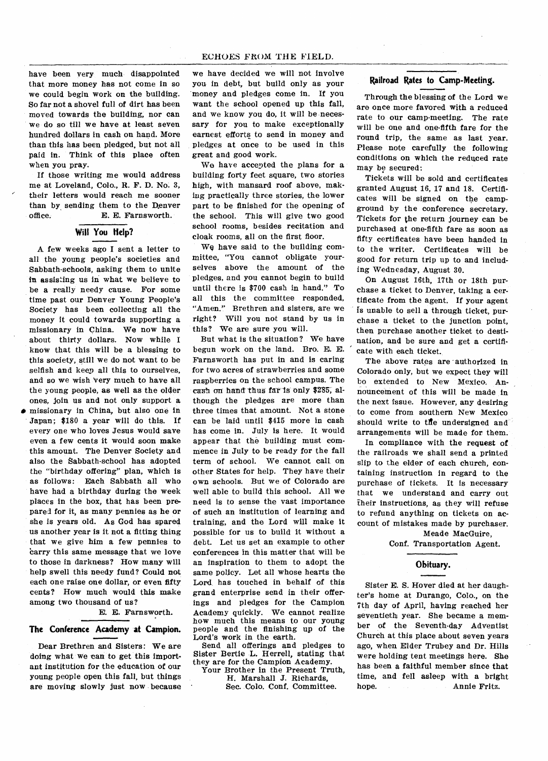have been very much disappointed that more money has not come in so we could begin work on the building. So far not a shovel full of dirt has been moved towards the building, nor can we do so till we have at least seven hundred dollars in cash on hand. More than this has been pledged, but not all paid in. Think of this place often when you pray.

If those writing me would address me at Loveland, Colo., R. F. D. No. 3, their letters would reach me sooner than by sending them to the Denver office. E. E. Farnsworth.

# **Will You Help?**

A few weeks ago I sent a letter to all the young people's societies and Sabbath-schools, asking them to unite in assisting us in what we believe to be a really needy cause. For some time past our Denver Young People's Society has been collecting all the money it could towards supporting a missionary in China. We now have about thirty dollars. Now while I know that this will be a blessing to this society, still we do not want to be selfish and keep all this to ourselves, and so we wish Very much to have all the young people, as well as the older ones, join us and not only support a • missionary in China, but also one in Japan; \$180 a year will do this. If

every one who loves Jesus would *save*  even a few cents it would soon make this amount. The Denver Society and also the Sabbath-school has adopted the "birthday offering" plan, which is as follows: Each Sabbath all who have had a birthday during the week places in the box, that has been prepared for it, as many pennies as he or she is years old. As God has spared us another year is it not a fitting thing that we give him a few pennies to **carry** this same message that we love to those in darkness? How many will help swell this needy fund? Could not each one raise one dollar, or even fifty cents? How much would this make among two thousand of us?

> E. E. Farnsworth. **•**

### **The Conference Academy at Campion.**

Dear Brethren and Sisters: We are doing what we can to get this important institution for the education of our young people open this fall, but things are moving slowly just now because we have decided we will not involve you in debt, but build only as your 'money and pledges come in. If you want the school opened up this fall, and we know you do, it will be necessary for you to make exceptionally earnest efforts to send in money and pledges at once to be used in this great and good work.

We have accepted the plans for a building forty feet square, two stories high, with mansard roof above, making practically three stories, the lower part to be finished for the opening of the school. This will give two good school rooms, besides recitation and cloak rooms, all on the first floor.

We have said to the building committee, "You cannot obligate yourselves above the amount of the pledges, and you cannot begin to build until there is \$700 cash in hand." To all this the committee responded, "Amen." Brethren and sisters, are we right? Will you not stand by us in this? We are sure you will.

But what is the situation? We have begun work on the land. Bro. E. E. Farnsworth has put in and is caring for two acres of strawberries and some raspberries on the school campus. The cash on hand thus far is only \$285, although the pledges are more than three times that amount. Not a stone can be laid until \$415 more in cash has come in. July is here. It would appear that the building must commence in July to be ready for the fall term of school. We cannot call on other States for help. They have their own schools. But we of Colorado are well able to build this school. All we need is to sense the vast importance of such an institution of learning and training, and the Lord will make it possible for us to build it without a debt. Let us set an example to other conferences in this matter that will be an inspiration to them to adopt the same policy. Let all whose hearts the Lord has touched in behalf of this grand enterprise send in their offerings and pledges for the Campion Academy quickly. We cannot realize how much this means to our young people and the finishing up of the Lord's work in the earth.

Send all offerings and pledges to Sister Bertie L. Herrell, stating that they are for the Campion Academy.

Your Brother in the Present Truth, H. Marshall J. Richards, *See.* Colo. Conf. Committee.

### **Railroad Rates to Camp-Meeting.**

Through the blessing of the Lord we are once more favored with a reduced rate to our camp-meeting. The rate will be one and one-fifth fare for the round trip, the same as last year. Please note carefully the following conditions on which the reduced rate may be secured:

Tickets will be sold and certificates granted August 16, 17 and 18. Certificates will be signed on the campground by the conference secretary. Tickets for the return journey can be purchased at one-fifth fare as soon as fifty certificates have been handed in to the writer. Certificates will be good for return trip up to and including Wednesday, August 30.

On August 16th, 17th or 18th purchase a ticket to Denver, taking a certificate from the agent. If your agent is unable to sell a through ticket, purchase a ticket to the junction point, then purchase another ticket to destination, and be sure and get a certificate with each ticket.

The above rates are authorized in Colorado only, but we expect they will bo extended to New Mexico. Announcement of this will be made in the next issue. However, any desiring to come from southern New Mexico should write to the undersigned and arrangements will be made for them.

In compliance with the **request of**  the railroads we shall send a printed slip to the elder of each church, containing instruction in regard to the purchase of tickets. It is necessary that we understand and carry out their instructions, as they will refuse to refund anything on tickets on account of mistakes made by purchaser.

> Meade MacGuire, Conf. Transportation Agent.

### **Obituary.**

Sister E. S. Hover died at her daughter's home at Durango, Colo., on the 7th day of April, having reached her seventieth year. She became a member of the Seventh-day Adventist Church at this place about seven years ago, when Elder Trubey and Dr. Hills were holding tent meetings here. She has been a faithful member since that time, and fell asleep with a bright<br>hope. Annie Fritz. hope. Annie Fritz.